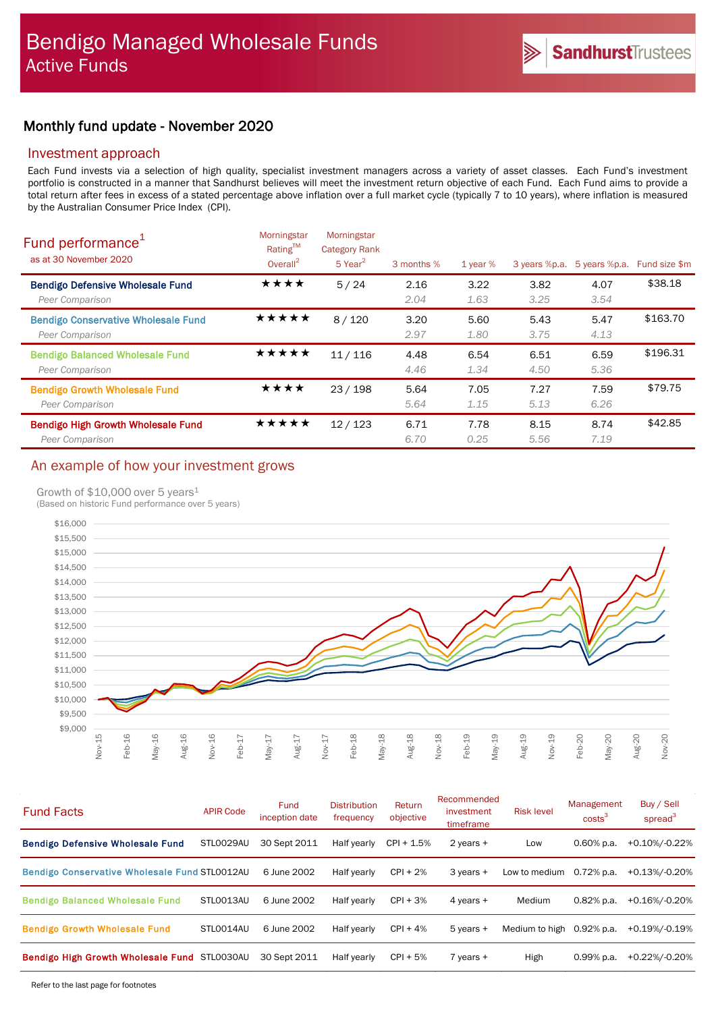# Monthly fund update - November 2020

## Investment approach

Each Fund invests via a selection of high quality, specialist investment managers across a variety of asset classes. Each Fund's investment portfolio is constructed in a manner that Sandhurst believes will meet the investment return objective of each Fund. Each Fund aims to provide a total return after fees in excess of a stated percentage above inflation over a full market cycle (typically 7 to 10 years), where inflation is measured by the Australian Consumer Price Index (CPI).

| Fund performance <sup>1</sup><br>as at 30 November 2020       | Morningstar<br>Rating™<br>Overall $^2$ | Morningstar<br><b>Category Rank</b><br>$5$ Year <sup>2</sup> | 3 months %   | $1$ year $%$ | 3 years %p.a. | 5 years %p.a. | Fund size \$m |
|---------------------------------------------------------------|----------------------------------------|--------------------------------------------------------------|--------------|--------------|---------------|---------------|---------------|
| <b>Bendigo Defensive Wholesale Fund</b><br>Peer Comparison    | ★★★★                                   | 5/24                                                         | 2.16<br>2.04 | 3.22<br>1.63 | 3.82<br>3.25  | 4.07<br>3.54  | \$38.18       |
| <b>Bendigo Conservative Wholesale Fund</b><br>Peer Comparison | ★★★★★                                  | 8/120                                                        | 3.20<br>2.97 | 5.60<br>1.80 | 5.43<br>3.75  | 5.47<br>4.13  | \$163.70      |
| <b>Bendigo Balanced Wholesale Fund</b><br>Peer Comparison     | *****                                  | 11/116                                                       | 4.48<br>4.46 | 6.54<br>1.34 | 6.51<br>4.50  | 6.59<br>5.36  | \$196.31      |
| <b>Bendigo Growth Wholesale Fund</b><br>Peer Comparison       | ★★★★                                   | 23/198                                                       | 5.64<br>5.64 | 7.05<br>1.15 | 7.27<br>5.13  | 7.59<br>6.26  | \$79.75       |
| <b>Bendigo High Growth Wholesale Fund</b><br>Peer Comparison  | ★★★★★                                  | 12/123                                                       | 6.71<br>6.70 | 7.78<br>0.25 | 8.15<br>5.56  | 8.74<br>7.19  | \$42.85       |

# An example of how your investment grows

### Growth of \$10,000 over 5 years<sup>1</sup>

(Based on historic Fund performance over 5 years)



| <b>Fund Facts</b>                             | <b>APIR Code</b> | <b>Fund</b><br>inception date | <b>Distribution</b><br>frequency | Return<br>objective | Recommended<br>investment<br>timeframe | <b>Risk level</b> | Management<br>costs <sup>3</sup> | Buy / Sell<br>spread $3$ |
|-----------------------------------------------|------------------|-------------------------------|----------------------------------|---------------------|----------------------------------------|-------------------|----------------------------------|--------------------------|
| <b>Bendigo Defensive Wholesale Fund</b>       | STL0029AU        | 30 Sept 2011                  | Half yearly                      | $CPI + 1.5%$        | $2$ years $+$                          | Low               | $0.60\%$ p.a.                    | +0.10%/-0.22%            |
| Bendigo Conservative Wholesale Fund STL0012AU |                  | 6 June 2002                   | Half yearly                      | $CPI + 2%$          | $3$ years $+$                          | Low to medium     | $0.72\%$ p.a.                    | +0.13%/-0.20%            |
| <b>Bendigo Balanced Wholesale Fund</b>        | STLO013AU        | 6 June 2002                   | Half yearly                      | $CPI + 3%$          | 4 years $+$                            | Medium            | $0.82%$ p.a.                     | +0.16%/-0.20%            |
| <b>Bendigo Growth Wholesale Fund</b>          | STLO014AU        | 6 June 2002                   | Half yearly                      | $CPI + 4%$          | $5$ years $+$                          | Medium to high    | $0.92\%$ p.a.                    | +0.19%/-0.19%            |
| Bendigo High Growth Wholesale Fund STL0030AU  |                  | 30 Sept 2011                  | Half yearly                      | $CPI + 5%$          | $7$ years $+$                          | High              | $0.99\%$ p.a.                    | +0.22%/-0.20%            |

Refer to the last page for footnotes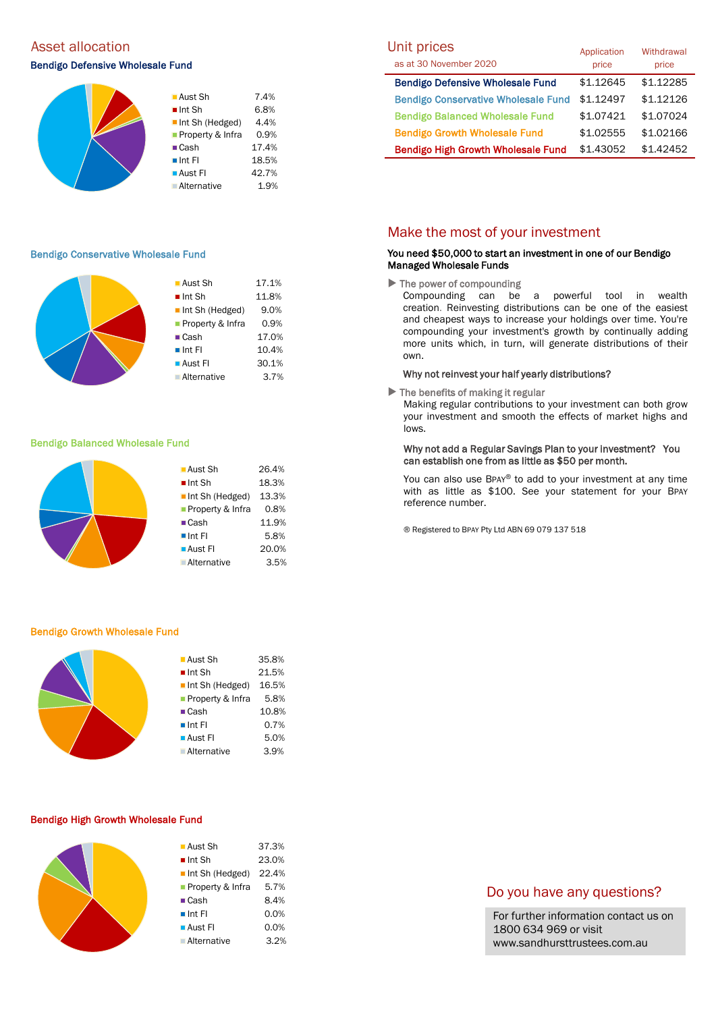# Asset allocation and the Unit prices of the Unit prices of Unit prices and Unit prices

### Bendigo Defensive Wholesale Fund



#### Bendigo Conservative Wholesale Fund

|  | ■ Aust Sh             | 17.1% |
|--|-----------------------|-------|
|  | $\blacksquare$ Int Sh | 11.8% |
|  | Int Sh (Hedged)       | 9.0%  |
|  | Property & Infra      | 0.9%  |
|  | $\blacksquare$ Cash   | 17.0% |
|  | $\blacksquare$ Int Fl | 10.4% |
|  | ■ Aust Fl             | 30.1% |
|  | <b>Alternative</b>    | 3.7%  |
|  |                       |       |

#### Bendigo Balanced Wholesale Fund

| 26.4% |
|-------|
| 18.3% |
| 13.3% |
| 0.8%  |
| 11.9% |
| 5.8%  |
| 20.0% |
| 3.5%  |
|       |

#### Bendigo Growth Wholesale Fund

| $\blacksquare$ Aust Sh | 35.8% |
|------------------------|-------|
| $\blacksquare$ Int Sh  | 21.5% |
| Int Sh (Hedged)        | 16.5% |
| Property & Infra       | 5.8%  |
| $\blacksquare$ Cash    | 10.8% |
| $\blacksquare$ Int FI  | 0.7%  |
| $\blacksquare$ Aust FI | 5.0%  |
| <b>Alternative</b>     | 3.9%  |
|                        |       |

#### Bendigo High Growth Wholesale Fund

| <b>Aust Sh</b>        | 37.3% |
|-----------------------|-------|
| $\blacksquare$ Int Sh | 23.0% |
| Int Sh (Hedged)       | 22.4% |
| Property & Infra      | 5.7%  |
| $\blacksquare$ Cash   | 8.4%  |
| $\blacksquare$ Int FI | 0.0%  |
| ■ Aust Fl             | 0.0%  |
| Alternative           | 3.2%  |
|                       |       |

| Unit prices<br>as at 30 November 2020      | Application<br>price | Withdrawal<br>price |
|--------------------------------------------|----------------------|---------------------|
| <b>Bendigo Defensive Wholesale Fund</b>    | \$1.12645            | \$1.12285           |
| <b>Bendigo Conservative Wholesale Fund</b> | \$1.12497            | \$1.12126           |
| <b>Bendigo Balanced Wholesale Fund</b>     | \$1.07421            | \$1.07024           |
| <b>Bendigo Growth Wholesale Fund</b>       | \$1.02555            | \$1.02166           |
| <b>Bendigo High Growth Wholesale Fund</b>  | \$1.43052            | \$1.42452           |

## Make the most of your investment

### You need \$50,000 to start an investment in one of our Bendigo Managed Wholesale Funds

 $\blacktriangleright$  The power of compounding

Compounding can be a powerful tool in wealth creation. Reinvesting distributions can be one of the easiest and cheapest ways to increase your holdings over time. You're compounding your investment's growth by continually adding more units which, in turn, will generate distributions of their own.

#### Why not reinvest your half yearly distributions?

 $\blacktriangleright$  The benefits of making it regular

Making regular contributions to your investment can both grow your investment and smooth the effects of market highs and lows.

### Why not add a Regular Savings Plan to your investment? You can establish one from as little as \$50 per month.

You can also use BPAY® to add to your investment at any time with as little as \$100. See your statement for your BPAY reference number.

® Registered to BPAY Pty Ltd ABN 69 079 137 518

### Do you have any questions?

For further information contact us on 1800 634 969 or visit www.sandhursttrustees.com.au